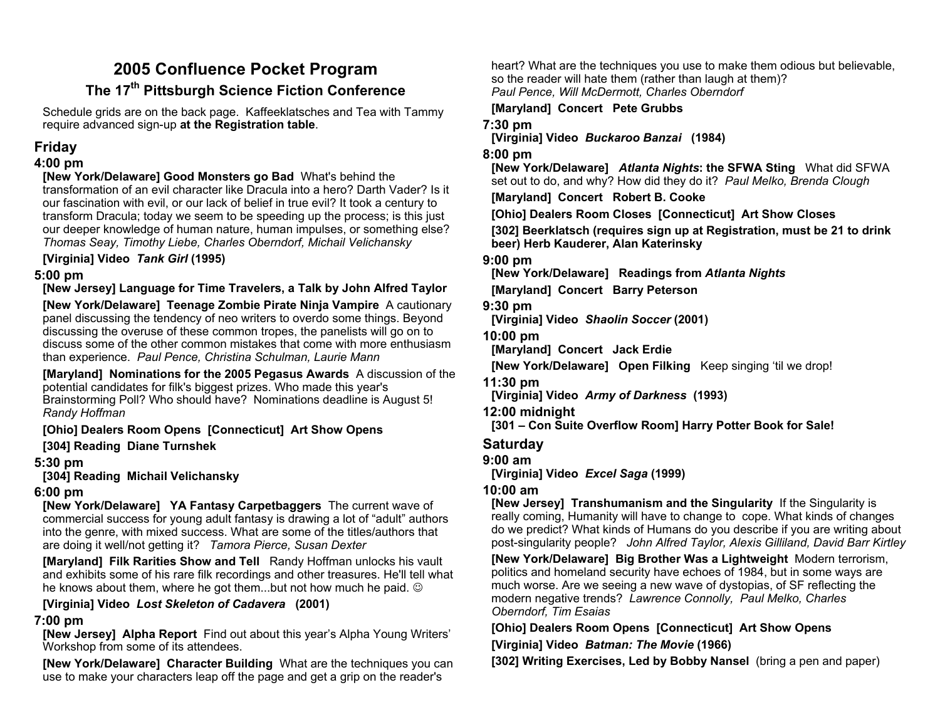# **2005 Confluence Pocket Program The 17th Pittsburgh Science Fiction Conference**

Schedule grids are on the back page. Kaffeeklatsches and Tea with Tammy require advanced sign-up **at the Registration table**.

# **Friday**

### **4:00 pm**

**[New York/Delaware] Good Monsters go Bad** What's behind the transformation of an evil character like Dracula into a hero? Darth Vader? Is it our fascination with evil, or our lack of belief in true evil? It took a century to transform Dracula; today we seem to be speeding up the process; is this just our deeper knowledge of human nature, human impulses, or something else? *Thomas Seay, Timothy Liebe, Charles Oberndorf, Michail Velichansky*

**[Virginia] Video** *Tank Girl* **(1995)** 

## **5:00 pm**

**[New Jersey] Language for Time Travelers, a Talk by John Alfred Taylor [New York/Delaware] Teenage Zombie Pirate Ninja Vampire** A cautionary panel discussing the tendency of neo writers to overdo some things. Beyond discussing the overuse of these common tropes, the panelists will go on to discuss some of the other common mistakes that come with more enthusiasm than experience. *Paul Pence, Christina Schulman, Laurie Mann*

**[Maryland] Nominations for the 2005 Pegasus Awards** A discussion of the potential candidates for filk's biggest prizes. Who made this year's Brainstorming Poll? Who should have? Nominations deadline is August 5! *Randy Hoffman*

**[Ohio] Dealers Room Opens [Connecticut] Art Show Opens** 

**[304] Reading Diane Turnshek** 

### **5:30 pm**

**[304] Reading Michail Velichansky** 

## **6:00 pm**

**[New York/Delaware] YA Fantasy Carpetbaggers** The current wave of commercial success for young adult fantasy is drawing a lot of "adult" authors into the genre, with mixed success. What are some of the titles/authors that are doing it well/not getting it? *Tamora Pierce, Susan Dexter*

**[Maryland] Filk Rarities Show and Tell** Randy Hoffman unlocks his vault and exhibits some of his rare filk recordings and other treasures. He'll tell what he knows about them, where he got them...but not how much he paid.  $\copyright$ 

## **[Virginia] Video** *Lost Skeleton of Cadavera* **(2001)**

## **7:00 pm**

**[New Jersey] Alpha Report** Find out about this year's Alpha Young Writers' Workshop from some of its attendees.

**[New York/Delaware] Character Building** What are the techniques you can use to make your characters leap off the page and get a grip on the reader's

heart? What are the techniques you use to make them odious but believable, so the reader will hate them (rather than laugh at them)? *Paul Pence, Will McDermott, Charles Oberndorf*

**[Maryland] Concert Pete Grubbs** 

## **7:30 pm**

**[Virginia] Video** *Buckaroo Banzai* **(1984)** 

## **8:00 pm**

**[New York/Delaware]** *Atlanta Nights***: the SFWA Sting** What did SFWA set out to do, and why? How did they do it? *Paul Melko, Brenda Clough*

**[Maryland] Concert Robert B. Cooke** 

**[Ohio] Dealers Room Closes [Connecticut] Art Show Closes** 

**[302] Beerklatsch (requires sign up at Registration, must be 21 to drink beer) Herb Kauderer, Alan Katerinsky** 

## **9:00 pm**

**[New York/Delaware] Readings from** *Atlanta Nights*

**[Maryland] Concert Barry Peterson** 

### **9:30 pm**

**[Virginia] Video** *Shaolin Soccer* **(2001)** 

**10:00 pm** 

**[Maryland] Concert Jack Erdie** 

**[New York/Delaware] Open Filking** Keep singing 'til we drop!

**11:30 pm** 

**[Virginia] Video** *Army of Darkness* **(1993)** 

**12:00 midnight** 

**[301 – Con Suite Overflow Room] Harry Potter Book for Sale!** 

# **Saturday**

**9:00 am** 

**[Virginia] Video** *Excel Saga* **(1999)** 

# **10:00 am**

**[New Jersey] Transhumanism and the Singularity** If the Singularity is really coming, Humanity will have to change to cope. What kinds of changes do we predict? What kinds of Humans do you describe if you are writing about post-singularity people? *John Alfred Taylor, Alexis Gilliland, David Barr Kirtley*

**[New York/Delaware] Big Brother Was a Lightweight** Modern terrorism, politics and homeland security have echoes of 1984, but in some ways are much worse. Are we seeing a new wave of dystopias, of SF reflecting the modern negative trends? *Lawrence Connolly, Paul Melko, Charles Oberndorf, Tim Esaias* 

**[Ohio] Dealers Room Opens [Connecticut] Art Show Opens [Virginia] Video** *Batman: The Movie* **(1966)** 

**[302] Writing Exercises, Led by Bobby Nansel** (bring a pen and paper)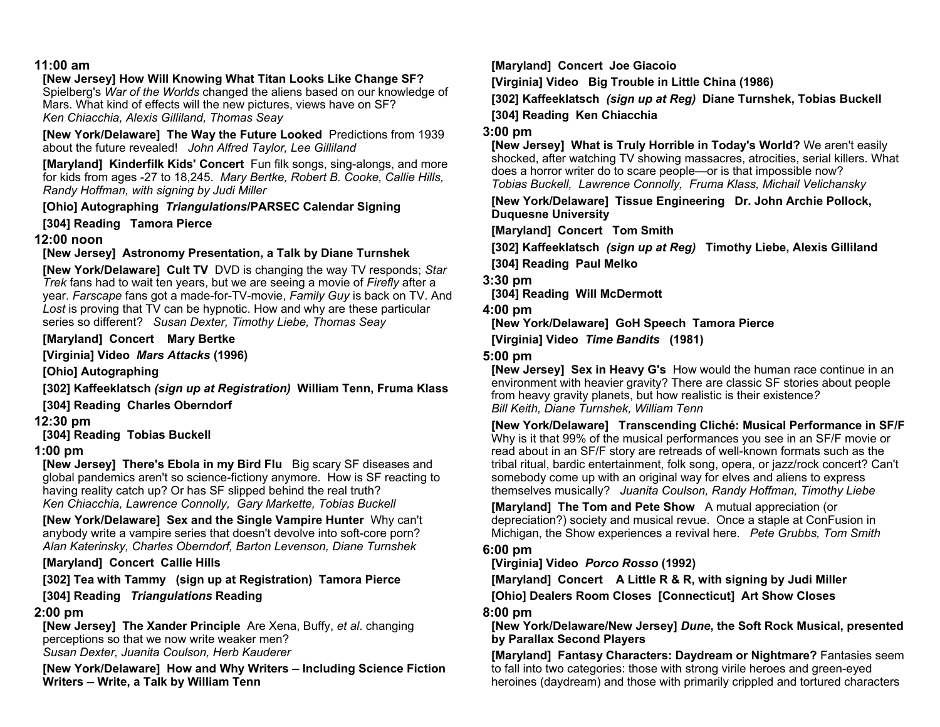#### **11:00 am**

## **[New Jersey] How Will Knowing What Titan Looks Like Change SF?**

Spielberg's *War of the Worlds* changed the aliens based on our knowledge of Mars. What kind of effects will the new pictures, views have on SF? *Ken Chiacchia, Alexis Gilliland, Thomas Seay* 

**[New York/Delaware] The Way the Future Looked** Predictions from 1939 about the future revealed! *John Alfred Taylor, Lee Gilliland* 

**[Maryland] Kinderfilk Kids' Concert** Fun filk songs, sing-alongs, and more for kids from ages -27 to 18,245. *Mary Bertke, Robert B. Cooke, Callie Hills, Randy Hoffman, with signing by Judi Miller* 

**[Ohio] Autographing** *Triangulations***/PARSEC Calendar Signing** 

**[304] Reading Tamora Pierce** 

#### **12:00 noon**

#### **[New Jersey] Astronomy Presentation, a Talk by Diane Turnshek**

**[New York/Delaware] Cult TV** DVD is changing the way TV responds; *Star Trek* fans had to wait ten years, but we are seeing a movie of *Firefly* after a year. *Farscape* fans got a made-for-TV-movie, *Family Guy* is back on TV. And *Lost* is proving that TV can be hypnotic. How and why are these particular series so different? *Susan Dexter, Timothy Liebe, Thomas Seay* 

#### **[Maryland] Concert Mary Bertke**

**[Virginia] Video** *Mars Attacks* **(1996)** 

**[Ohio] Autographing** 

**[302] Kaffeeklatsch** *(sign up at Registration)* **William Tenn, Fruma Klass** 

**[304] Reading Charles Oberndorf**

#### **12:30 pm**

**[304] Reading Tobias Buckell** 

#### **1:00 pm**

**[New Jersey] There's Ebola in my Bird Flu** Big scary SF diseases and global pandemics aren't so science-fictiony anymore. How is SF reacting to having reality catch up? Or has SF slipped behind the real truth? *Ken Chiacchia, Lawrence Connolly, Gary Markette, Tobias Buckell*

**[New York/Delaware] Sex and the Single Vampire Hunter** Why can't anybody write a vampire series that doesn't devolve into soft-core porn? *Alan Katerinsky, Charles Oberndorf, Barton Levenson, Diane Turnshek*

#### **[Maryland] Concert Callie Hills**

**[302] Tea with Tammy (sign up at Registration) Tamora Pierce** 

#### **[304] Reading** *Triangulations* **Reading**

#### **2:00 pm**

**[New Jersey] The Xander Principle** Are Xena, Buffy, *et al*. changing perceptions so that we now write weaker men? *Susan Dexter, Juanita Coulson, Herb Kauderer* 

**[New York/Delaware] How and Why Writers — Including Science Fiction Writers — Write, a Talk by William Tenn**

**[Maryland] Concert Joe Giacoio** 

**[Virginia] Video Big Trouble in Little China (1986)** 

**[302] Kaffeeklatsch** *(sign up at Reg)* **Diane Turnshek, Tobias Buckell** 

**[304] Reading Ken Chiacchia** 

#### **3:00 pm**

**[New Jersey] What is Truly Horrible in Today's World?** We aren't easily shocked, after watching TV showing massacres, atrocities, serial killers. What does a horror writer do to scare people—or is that impossible now? *Tobias Buckell, Lawrence Connolly, Fruma Klass, Michail Velichansky* 

**[New York/Delaware] Tissue Engineering Dr. John Archie Pollock, Duquesne University** 

**[Maryland] Concert Tom Smith** 

**[302] Kaffeeklatsch** *(sign up at Reg)* **Timothy Liebe, Alexis Gilliland** 

**[304] Reading Paul Melko** 

**3:30 pm** 

**[304] Reading Will McDermott** 

**4:00 pm** 

**[New York/Delaware] GoH Speech Tamora Pierce** 

**[Virginia] Video** *Time Bandits* **(1981)** 

#### **5:00 pm**

**[New Jersey] Sex in Heavy G's** How would the human race continue in an environment with heavier gravity? There are classic SF stories about people from heavy gravity planets, but how realistic is their existence*? Bill Keith, Diane Turnshek, William Tenn*

**[New York/Delaware] Transcending Cliché: Musical Performance in SF/F** Why is it that 99% of the musical performances you see in an SF/F movie or read about in an SF/F story are retreads of well-known formats such as the tribal ritual, bardic entertainment, folk song, opera, or jazz/rock concert? Can't somebody come up with an original way for elves and aliens to express themselves musically? *Juanita Coulson, Randy Hoffman, Timothy Liebe*

**[Maryland] The Tom and Pete Show** A mutual appreciation (or depreciation?) society and musical revue. Once a staple at ConFusion in Michigan, the Show experiences a revival here. *Pete Grubbs, Tom Smith* 

#### **6:00 pm**

**[Virginia] Video** *Porco Rosso* **(1992)** 

**[Maryland] Concert A Little R & R, with signing by Judi Miller [Ohio] Dealers Room Closes [Connecticut] Art Show Closes** 

**8:00 pm** 

**[New York/Delaware/New Jersey]** *Dune***, the Soft Rock Musical, presented by Parallax Second Players** 

**[Maryland] Fantasy Characters: Daydream or Nightmare?** Fantasies seem to fall into two categories: those with strong virile heroes and green-eyed heroines (daydream) and those with primarily crippled and tortured characters